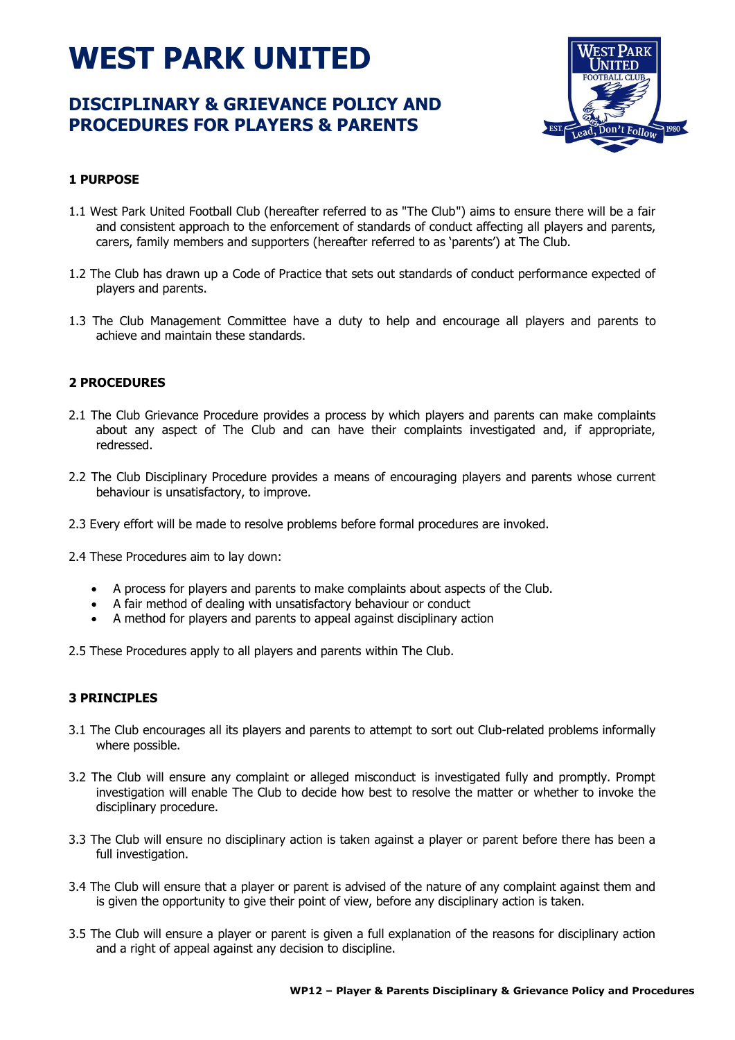# **WEST PARK UNITED**

# **DISCIPLINARY & GRIEVANCE POLICY AND PROCEDURES FOR PLAYERS & PARENTS**



# **1 PURPOSE**

- 1.1 West Park United Football Club (hereafter referred to as "The Club") aims to ensure there will be a fair and consistent approach to the enforcement of standards of conduct affecting all players and parents, carers, family members and supporters (hereafter referred to as 'parents') at The Club.
- 1.2 The Club has drawn up a Code of Practice that sets out standards of conduct performance expected of players and parents.
- 1.3 The Club Management Committee have a duty to help and encourage all players and parents to achieve and maintain these standards.

# **2 PROCEDURES**

- 2.1 The Club Grievance Procedure provides a process by which players and parents can make complaints about any aspect of The Club and can have their complaints investigated and, if appropriate, redressed.
- 2.2 The Club Disciplinary Procedure provides a means of encouraging players and parents whose current behaviour is unsatisfactory, to improve.
- 2.3 Every effort will be made to resolve problems before formal procedures are invoked.
- 2.4 These Procedures aim to lay down:
	- A process for players and parents to make complaints about aspects of the Club.
	- A fair method of dealing with unsatisfactory behaviour or conduct
	- A method for players and parents to appeal against disciplinary action

2.5 These Procedures apply to all players and parents within The Club.

# **3 PRINCIPLES**

- 3.1 The Club encourages all its players and parents to attempt to sort out Club-related problems informally where possible.
- 3.2 The Club will ensure any complaint or alleged misconduct is investigated fully and promptly. Prompt investigation will enable The Club to decide how best to resolve the matter or whether to invoke the disciplinary procedure.
- 3.3 The Club will ensure no disciplinary action is taken against a player or parent before there has been a full investigation.
- 3.4 The Club will ensure that a player or parent is advised of the nature of any complaint against them and is given the opportunity to give their point of view, before any disciplinary action is taken.
- 3.5 The Club will ensure a player or parent is given a full explanation of the reasons for disciplinary action and a right of appeal against any decision to discipline.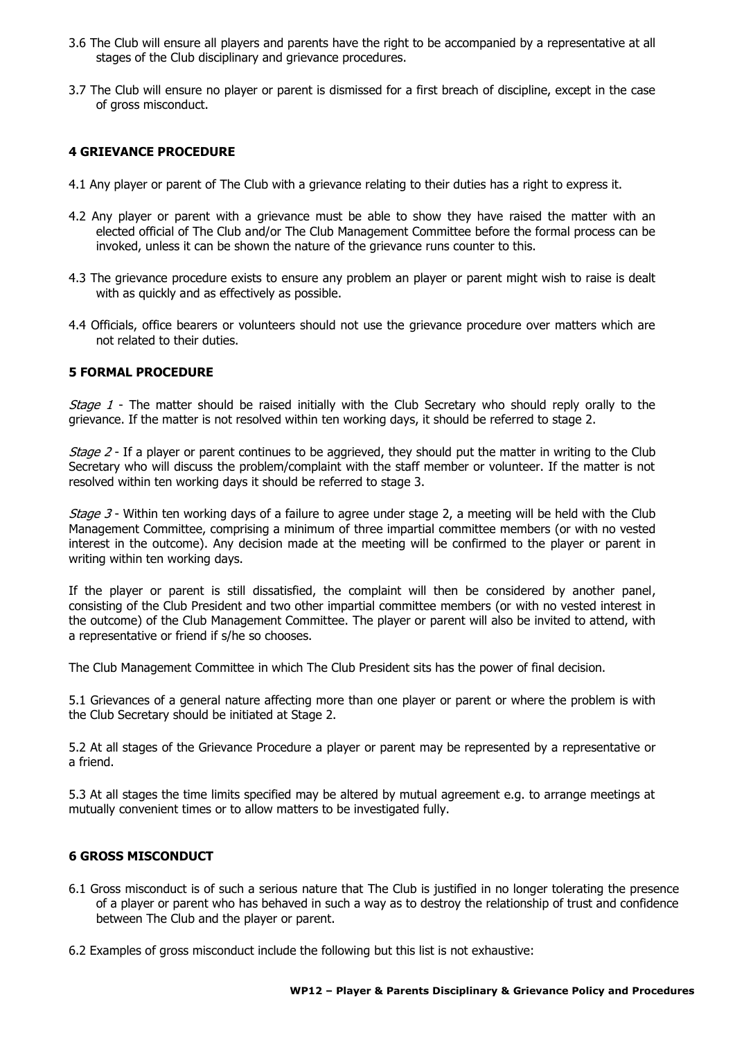- 3.6 The Club will ensure all players and parents have the right to be accompanied by a representative at all stages of the Club disciplinary and grievance procedures.
- 3.7 The Club will ensure no player or parent is dismissed for a first breach of discipline, except in the case of gross misconduct.

# **4 GRIEVANCE PROCEDURE**

- 4.1 Any player or parent of The Club with a grievance relating to their duties has a right to express it.
- 4.2 Any player or parent with a grievance must be able to show they have raised the matter with an elected official of The Club and/or The Club Management Committee before the formal process can be invoked, unless it can be shown the nature of the grievance runs counter to this.
- 4.3 The grievance procedure exists to ensure any problem an player or parent might wish to raise is dealt with as quickly and as effectively as possible.
- 4.4 Officials, office bearers or volunteers should not use the grievance procedure over matters which are not related to their duties.

#### **5 FORMAL PROCEDURE**

Stage 1 - The matter should be raised initially with the Club Secretary who should reply orally to the grievance. If the matter is not resolved within ten working days, it should be referred to stage 2.

Stage 2 - If a player or parent continues to be aggrieved, they should put the matter in writing to the Club Secretary who will discuss the problem/complaint with the staff member or volunteer. If the matter is not resolved within ten working days it should be referred to stage 3.

Stage 3 - Within ten working days of a failure to agree under stage 2, a meeting will be held with the Club Management Committee, comprising a minimum of three impartial committee members (or with no vested interest in the outcome). Any decision made at the meeting will be confirmed to the player or parent in writing within ten working days.

If the player or parent is still dissatisfied, the complaint will then be considered by another panel, consisting of the Club President and two other impartial committee members (or with no vested interest in the outcome) of the Club Management Committee. The player or parent will also be invited to attend, with a representative or friend if s/he so chooses.

The Club Management Committee in which The Club President sits has the power of final decision.

5.1 Grievances of a general nature affecting more than one player or parent or where the problem is with the Club Secretary should be initiated at Stage 2.

5.2 At all stages of the Grievance Procedure a player or parent may be represented by a representative or a friend.

5.3 At all stages the time limits specified may be altered by mutual agreement e.g. to arrange meetings at mutually convenient times or to allow matters to be investigated fully.

#### **6 GROSS MISCONDUCT**

- 6.1 Gross misconduct is of such a serious nature that The Club is justified in no longer tolerating the presence of a player or parent who has behaved in such a way as to destroy the relationship of trust and confidence between The Club and the player or parent.
- 6.2 Examples of gross misconduct include the following but this list is not exhaustive: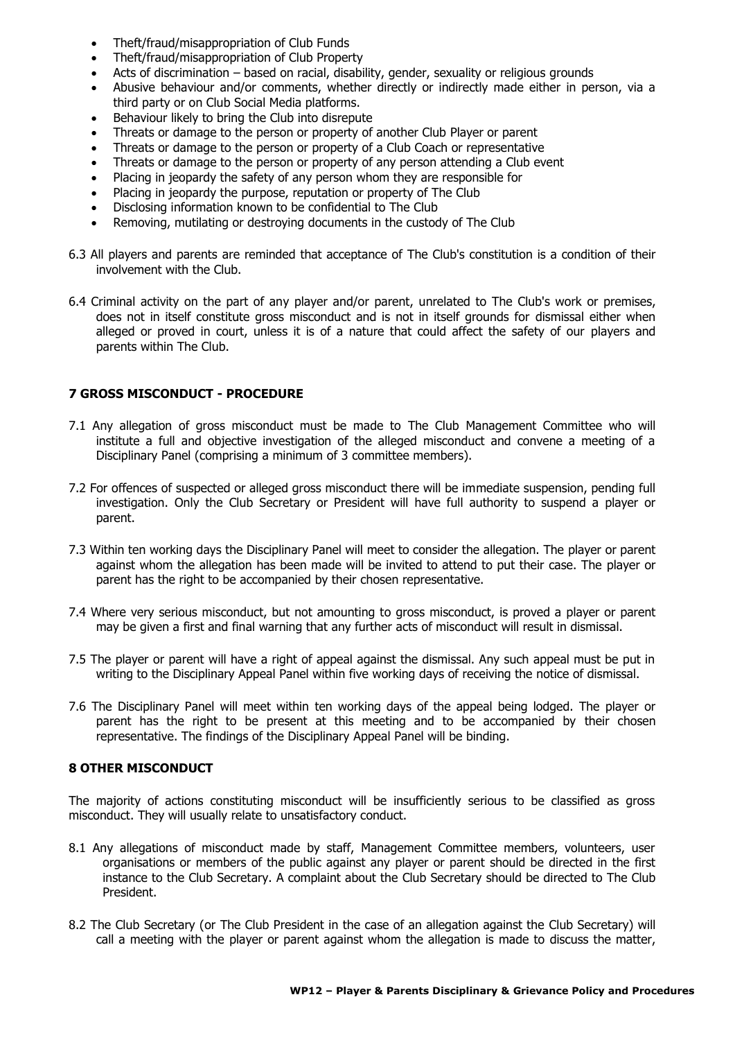- Theft/fraud/misappropriation of Club Funds
- Theft/fraud/misappropriation of Club Property
- Acts of discrimination based on racial, disability, gender, sexuality or religious grounds
- Abusive behaviour and/or comments, whether directly or indirectly made either in person, via a third party or on Club Social Media platforms.
- Behaviour likely to bring the Club into disrepute
- Threats or damage to the person or property of another Club Player or parent
- Threats or damage to the person or property of a Club Coach or representative
- Threats or damage to the person or property of any person attending a Club event
- Placing in jeopardy the safety of any person whom they are responsible for
- Placing in jeopardy the purpose, reputation or property of The Club
- Disclosing information known to be confidential to The Club
- Removing, mutilating or destroying documents in the custody of The Club
- 6.3 All players and parents are reminded that acceptance of The Club's constitution is a condition of their involvement with the Club.
- 6.4 Criminal activity on the part of any player and/or parent, unrelated to The Club's work or premises, does not in itself constitute gross misconduct and is not in itself grounds for dismissal either when alleged or proved in court, unless it is of a nature that could affect the safety of our players and parents within The Club.

# **7 GROSS MISCONDUCT - PROCEDURE**

- 7.1 Any allegation of gross misconduct must be made to The Club Management Committee who will institute a full and objective investigation of the alleged misconduct and convene a meeting of a Disciplinary Panel (comprising a minimum of 3 committee members).
- 7.2 For offences of suspected or alleged gross misconduct there will be immediate suspension, pending full investigation. Only the Club Secretary or President will have full authority to suspend a player or parent.
- 7.3 Within ten working days the Disciplinary Panel will meet to consider the allegation. The player or parent against whom the allegation has been made will be invited to attend to put their case. The player or parent has the right to be accompanied by their chosen representative.
- 7.4 Where very serious misconduct, but not amounting to gross misconduct, is proved a player or parent may be given a first and final warning that any further acts of misconduct will result in dismissal.
- 7.5 The player or parent will have a right of appeal against the dismissal. Any such appeal must be put in writing to the Disciplinary Appeal Panel within five working days of receiving the notice of dismissal.
- 7.6 The Disciplinary Panel will meet within ten working days of the appeal being lodged. The player or parent has the right to be present at this meeting and to be accompanied by their chosen representative. The findings of the Disciplinary Appeal Panel will be binding.

# **8 OTHER MISCONDUCT**

The majority of actions constituting misconduct will be insufficiently serious to be classified as gross misconduct. They will usually relate to unsatisfactory conduct.

- 8.1 Any allegations of misconduct made by staff, Management Committee members, volunteers, user organisations or members of the public against any player or parent should be directed in the first instance to the Club Secretary. A complaint about the Club Secretary should be directed to The Club President.
- 8.2 The Club Secretary (or The Club President in the case of an allegation against the Club Secretary) will call a meeting with the player or parent against whom the allegation is made to discuss the matter,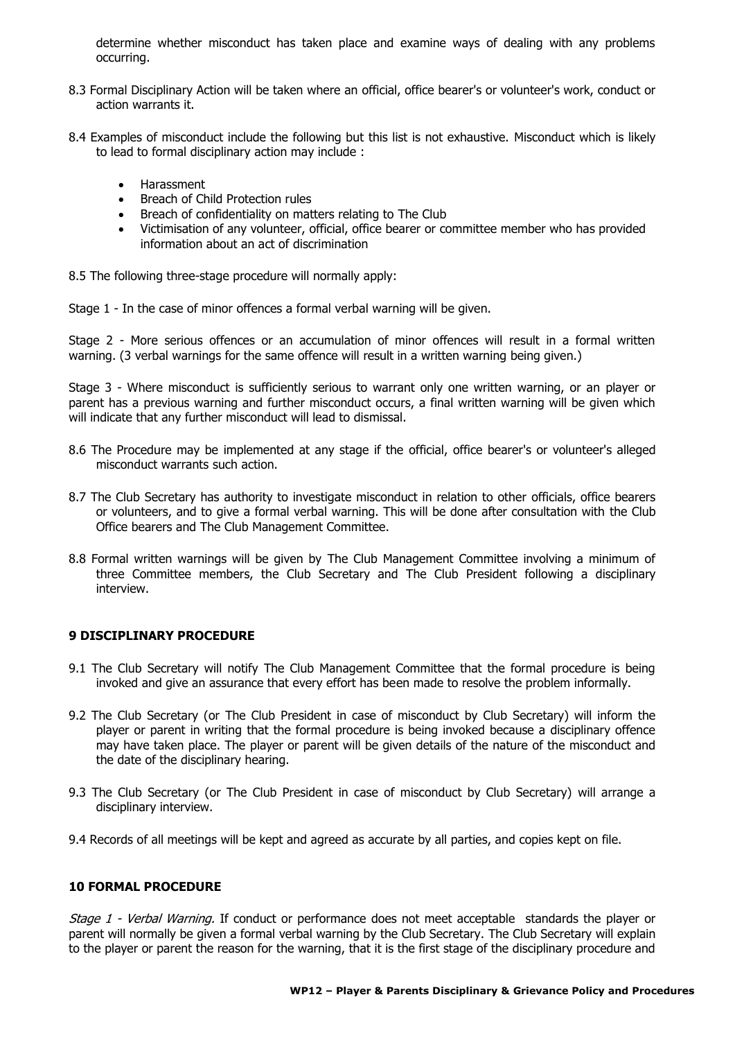determine whether misconduct has taken place and examine ways of dealing with any problems occurring.

- 8.3 Formal Disciplinary Action will be taken where an official, office bearer's or volunteer's work, conduct or action warrants it.
- 8.4 Examples of misconduct include the following but this list is not exhaustive. Misconduct which is likely to lead to formal disciplinary action may include :
	- Harassment
	- Breach of Child Protection rules
	- Breach of confidentiality on matters relating to The Club
	- Victimisation of any volunteer, official, office bearer or committee member who has provided information about an act of discrimination

8.5 The following three-stage procedure will normally apply:

Stage 1 - In the case of minor offences a formal verbal warning will be given.

Stage 2 - More serious offences or an accumulation of minor offences will result in a formal written warning. (3 verbal warnings for the same offence will result in a written warning being given.)

Stage 3 - Where misconduct is sufficiently serious to warrant only one written warning, or an player or parent has a previous warning and further misconduct occurs, a final written warning will be given which will indicate that any further misconduct will lead to dismissal.

- 8.6 The Procedure may be implemented at any stage if the official, office bearer's or volunteer's alleged misconduct warrants such action.
- 8.7 The Club Secretary has authority to investigate misconduct in relation to other officials, office bearers or volunteers, and to give a formal verbal warning. This will be done after consultation with the Club Office bearers and The Club Management Committee.
- 8.8 Formal written warnings will be given by The Club Management Committee involving a minimum of three Committee members, the Club Secretary and The Club President following a disciplinary interview.

# **9 DISCIPLINARY PROCEDURE**

- 9.1 The Club Secretary will notify The Club Management Committee that the formal procedure is being invoked and give an assurance that every effort has been made to resolve the problem informally.
- 9.2 The Club Secretary (or The Club President in case of misconduct by Club Secretary) will inform the player or parent in writing that the formal procedure is being invoked because a disciplinary offence may have taken place. The player or parent will be given details of the nature of the misconduct and the date of the disciplinary hearing.
- 9.3 The Club Secretary (or The Club President in case of misconduct by Club Secretary) will arrange a disciplinary interview.
- 9.4 Records of all meetings will be kept and agreed as accurate by all parties, and copies kept on file.

#### **10 FORMAL PROCEDURE**

Stage 1 - Verbal Warning. If conduct or performance does not meet acceptable standards the player or parent will normally be given a formal verbal warning by the Club Secretary. The Club Secretary will explain to the player or parent the reason for the warning, that it is the first stage of the disciplinary procedure and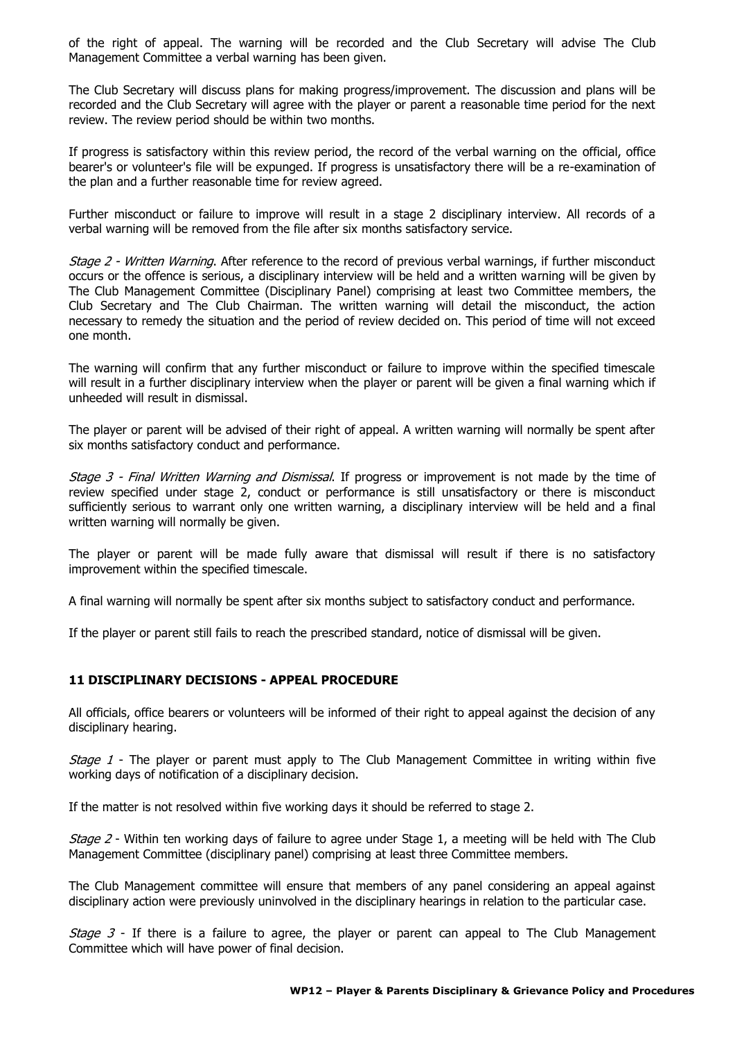of the right of appeal. The warning will be recorded and the Club Secretary will advise The Club Management Committee a verbal warning has been given.

The Club Secretary will discuss plans for making progress/improvement. The discussion and plans will be recorded and the Club Secretary will agree with the player or parent a reasonable time period for the next review. The review period should be within two months.

If progress is satisfactory within this review period, the record of the verbal warning on the official, office bearer's or volunteer's file will be expunged. If progress is unsatisfactory there will be a re-examination of the plan and a further reasonable time for review agreed.

Further misconduct or failure to improve will result in a stage 2 disciplinary interview. All records of a verbal warning will be removed from the file after six months satisfactory service.

Stage 2 - Written Warning. After reference to the record of previous verbal warnings, if further misconduct occurs or the offence is serious, a disciplinary interview will be held and a written warning will be given by The Club Management Committee (Disciplinary Panel) comprising at least two Committee members, the Club Secretary and The Club Chairman. The written warning will detail the misconduct, the action necessary to remedy the situation and the period of review decided on. This period of time will not exceed one month.

The warning will confirm that any further misconduct or failure to improve within the specified timescale will result in a further disciplinary interview when the player or parent will be given a final warning which if unheeded will result in dismissal.

The player or parent will be advised of their right of appeal. A written warning will normally be spent after six months satisfactory conduct and performance.

Stage 3 - Final Written Warning and Dismissal. If progress or improvement is not made by the time of review specified under stage 2, conduct or performance is still unsatisfactory or there is misconduct sufficiently serious to warrant only one written warning, a disciplinary interview will be held and a final written warning will normally be given.

The player or parent will be made fully aware that dismissal will result if there is no satisfactory improvement within the specified timescale.

A final warning will normally be spent after six months subject to satisfactory conduct and performance.

If the player or parent still fails to reach the prescribed standard, notice of dismissal will be given.

# **11 DISCIPLINARY DECISIONS - APPEAL PROCEDURE**

All officials, office bearers or volunteers will be informed of their right to appeal against the decision of any disciplinary hearing.

*Stage 1* - The player or parent must apply to The Club Management Committee in writing within five working days of notification of a disciplinary decision.

If the matter is not resolved within five working days it should be referred to stage 2.

Stage 2 - Within ten working days of failure to agree under Stage 1, a meeting will be held with The Club Management Committee (disciplinary panel) comprising at least three Committee members.

The Club Management committee will ensure that members of any panel considering an appeal against disciplinary action were previously uninvolved in the disciplinary hearings in relation to the particular case.

*Stage 3* - If there is a failure to agree, the player or parent can appeal to The Club Management Committee which will have power of final decision.